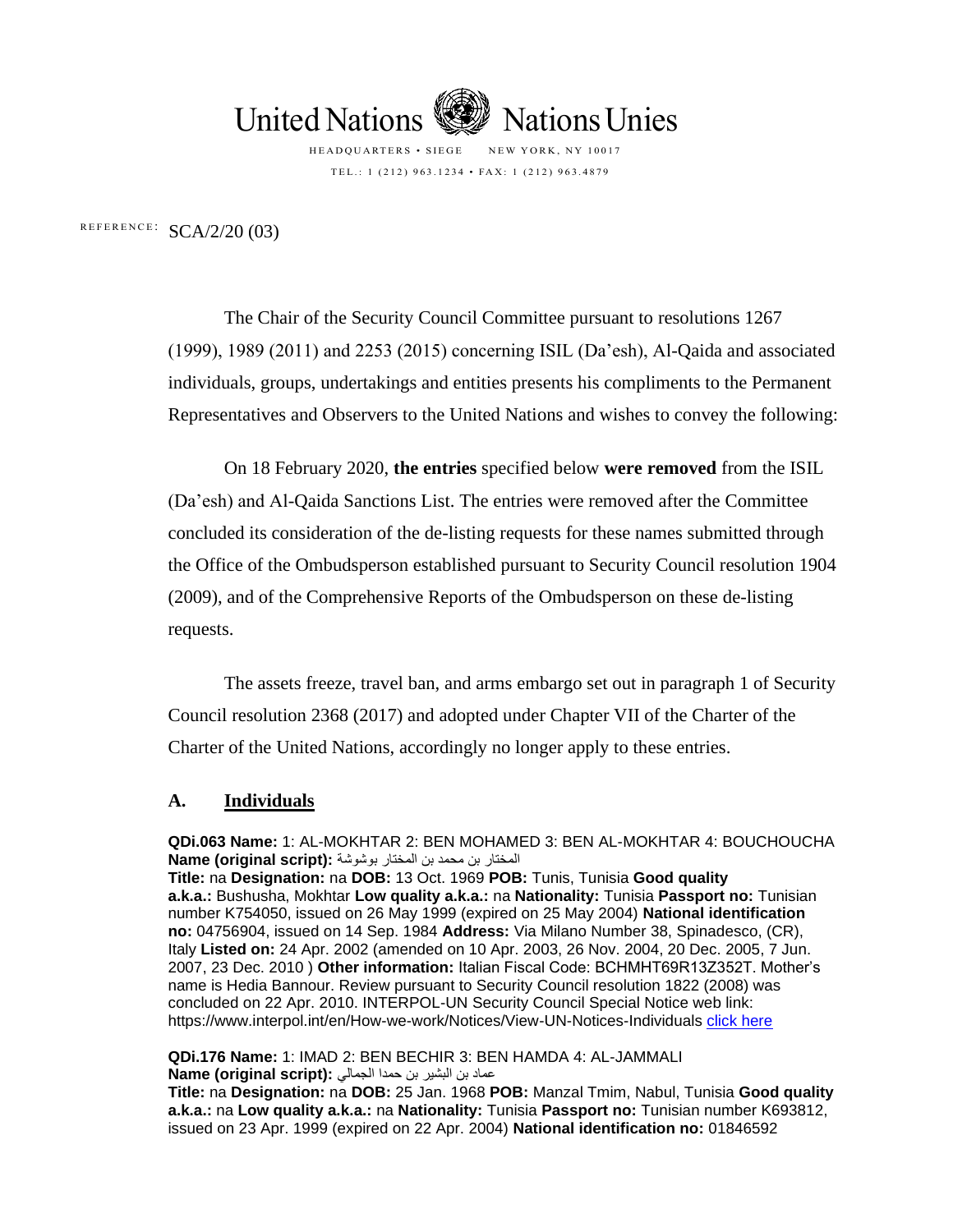

HEADQUARTERS • SIEGE NEW YORK, NY 10017 TEL.: 1 (212) 963.1234 • FAX: 1 (212) 963.4879

REFERENCE:  $SCA/2/20$  (03)

The Chair of the Security Council Committee pursuant to resolutions 1267 (1999), 1989 (2011) and 2253 (2015) concerning ISIL (Da'esh), Al-Qaida and associated individuals, groups, undertakings and entities presents his compliments to the Permanent Representatives and Observers to the United Nations and wishes to convey the following:

On 18 February 2020, **the entries** specified below **were removed** from the ISIL (Da'esh) and Al-Qaida Sanctions List. The entries were removed after the Committee concluded its consideration of the de-listing requests for these names submitted through the Office of the Ombudsperson established pursuant to Security Council resolution 1904 (2009), and of the Comprehensive Reports of the Ombudsperson on these de-listing requests.

The assets freeze, travel ban, and arms embargo set out in paragraph 1 of Security Council resolution 2368 (2017) and adopted under Chapter VII of the Charter of the Charter of the United Nations, accordingly no longer apply to these entries.

## **A. Individuals**

**QDi.063 Name:** 1: AL-MOKHTAR 2: BEN MOHAMED 3: BEN AL-MOKHTAR 4: BOUCHOUCHA المختار بن محمد بن المختار بوشوشة **:(script original (Name**

**Title:** na **Designation:** na **DOB:** 13 Oct. 1969 **POB:** Tunis, Tunisia **Good quality a.k.a.:** Bushusha, Mokhtar **Low quality a.k.a.:** na **Nationality:** Tunisia **Passport no:** Tunisian number K754050, issued on 26 May 1999 (expired on 25 May 2004) **National identification no:** 04756904, issued on 14 Sep. 1984 **Address:** Via Milano Number 38, Spinadesco, (CR), Italy **Listed on:** 24 Apr. 2002 (amended on 10 Apr. 2003, 26 Nov. 2004, 20 Dec. 2005, 7 Jun. 2007, 23 Dec. 2010 ) **Other information:** Italian Fiscal Code: BCHMHT69R13Z352T. Mother's name is Hedia Bannour. Review pursuant to Security Council resolution 1822 (2008) was concluded on 22 Apr. 2010. INTERPOL-UN Security Council Special Notice web link: https://www.interpol.int/en/How-we-work/Notices/View-UN-Notices-Individuals [click here](https://www.interpol.int/en/How-we-work/Notices/View-UN-Notices-Individuals)

**QDi.176 Name:** 1: IMAD 2: BEN BECHIR 3: BEN HAMDA 4: AL-JAMMALI عماد بن البشير بن حمدا الجمالي **:(script original (Name**

**Title:** na **Designation:** na **DOB:** 25 Jan. 1968 **POB:** Manzal Tmim, Nabul, Tunisia **Good quality a.k.a.:** na **Low quality a.k.a.:** na **Nationality:** Tunisia **Passport no:** Tunisian number K693812, issued on 23 Apr. 1999 (expired on 22 Apr. 2004) **National identification no:** 01846592